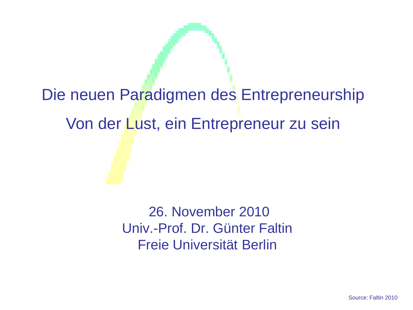# Die neuen Paradigmen des Entrepreneurship Von der Lust, ein Entrepreneur zu sein

26. November 2010 Univ.-Prof. Dr. Günter Faltin Freie Universität Berlin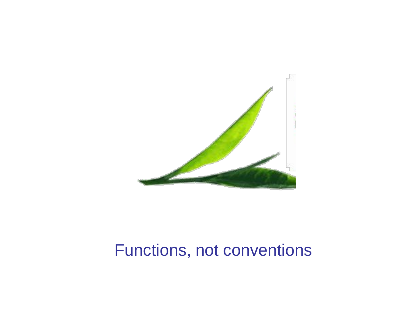

### Functions, not conventions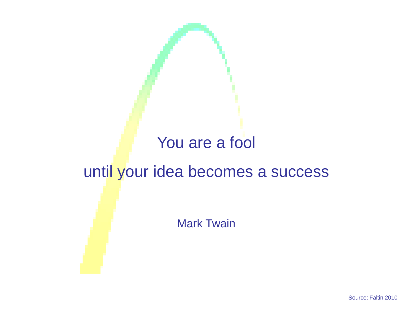#### You are a fool

#### until your idea becomes a success

Mark Twain

Source: Faltin 2010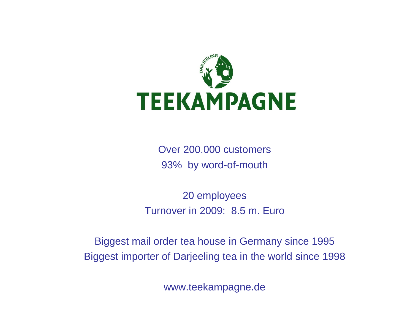

Over 200.000 customers 93% by word-of-mouth

20 employees Turnover in 2009: 8.5 m. Euro

Biggest mail order tea house in Germany since 1995 Biggest importer of Darjeeling tea in the world since 1998

www.teekampagne.de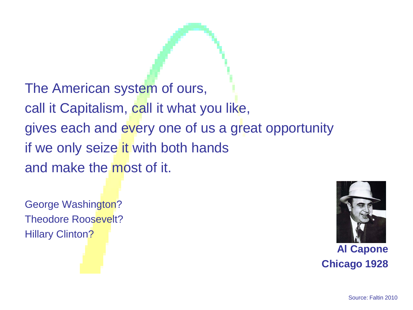The American system of ours, call it Capitalism, call it what you like, gives each and every one of us a great opportunity if we only seize it with both hands and make the most of it.

George Washington? Theodore Roosevelt? **Hillary Clinton?** 



**Al Capone Chicago 1928**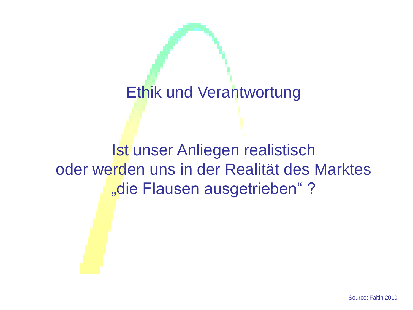#### Ethik und Verantwortung

Ist unser Anliegen realistisch oder werden uns in der Realität des Marktes "die Flausen ausgetrieben"?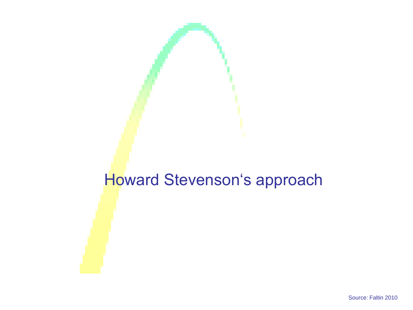#### Howard Stevenson's approach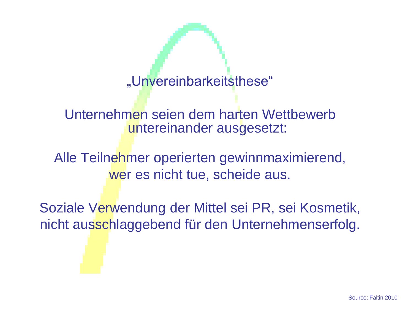"Unvereinbarkeitsthese"

Unternehmen seien dem harten Wettbewerb untereinander ausgesetzt:

Alle Teilnehmer operierten gewinnmaximierend, wer es nicht tue, scheide aus.

Soziale Verwendung der Mittel sei PR, sei Kosmetik, nicht ausschlaggebend für den Unternehmenserfolg.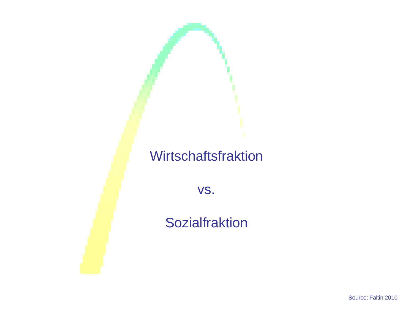#### **Wirtschaftsfraktion**

vs.

**Sozialfraktion** 

Source: Faltin 2010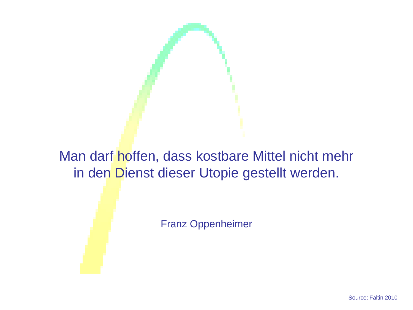Man darf hoffen, dass kostbare Mittel nicht mehr in den Dienst dieser Utopie gestellt werden.

Franz Oppenheimer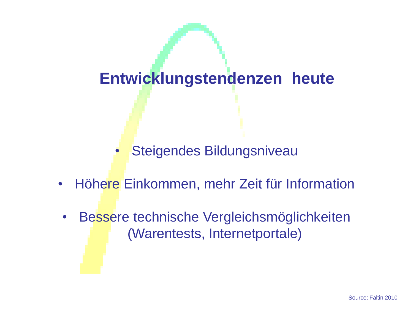#### **Entwicklungstendenzen heute**

• Steigendes Bildungsniveau

- Höhere Einkommen, mehr Zeit für Information
- Bessere technische Vergleichsmöglichkeiten (Warentests, Internetportale)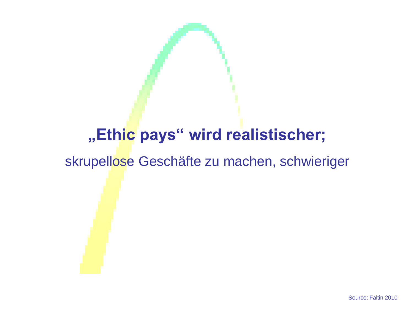### **"Ethic pays" wird realistischer;**

skrupellose Geschäfte zu machen, schwieriger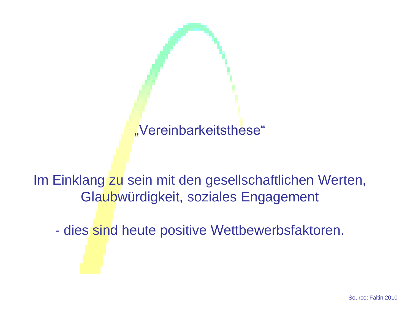#### "Vereinbarkeitsthese"

Im Einklang zu sein mit den gesellschaftlichen Werten, Glaubwürdigkeit, soziales Engagement

- dies sind heute positive Wettbewerbsfaktoren.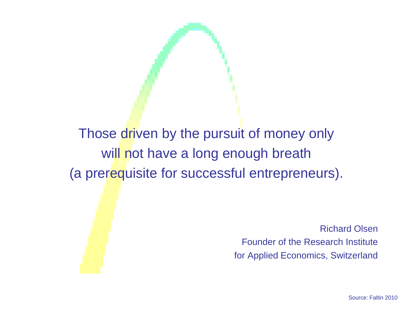#### Those driven by the pursuit of money only will not have a long enough breath (a prerequisite for successful entrepreneurs).

Richard Olsen Founder of the Research Institute for Applied Economics, Switzerland

Source: Faltin 2010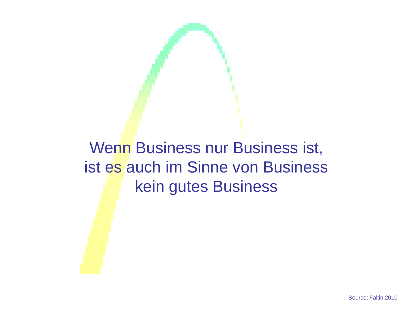### Wenn Business nur Business ist, ist es auch im Sinne von Business kein gutes Business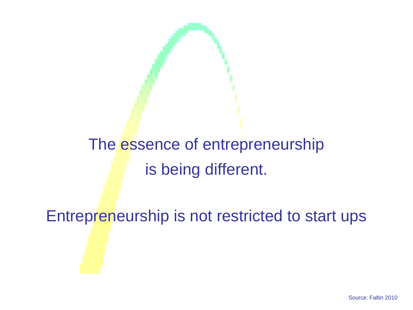## The essence of entrepreneurship is being different.

Entrepreneurship is not restricted to start ups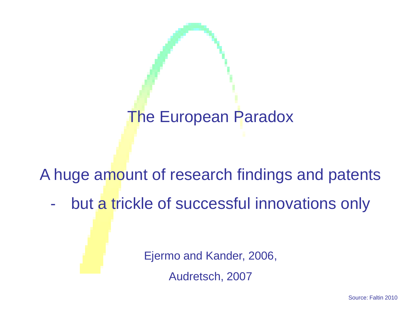### The European Paradox

#### A huge amount of research findings and patents

- but a trickle of successful innovations only

Ejermo and Kander, 2006,

Audretsch, 2007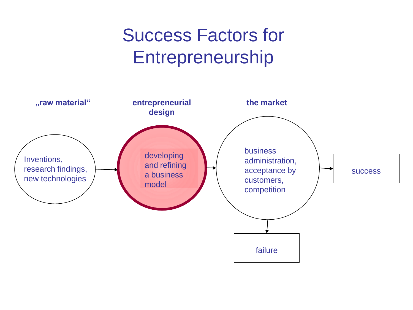### Success Factors for Entrepreneurship

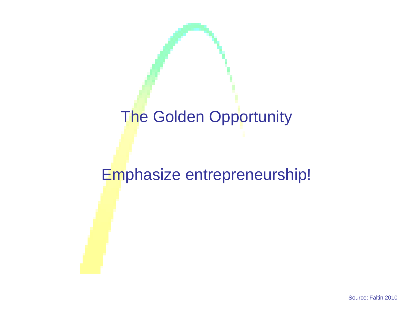### The Golden Opportunity

#### Emphasize entrepreneurship!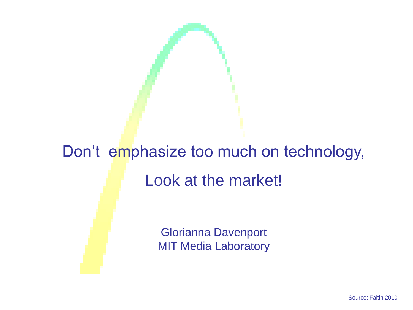# Don't emphasize too much on technology, Look at the market!

Glorianna Davenport MIT Media Laboratory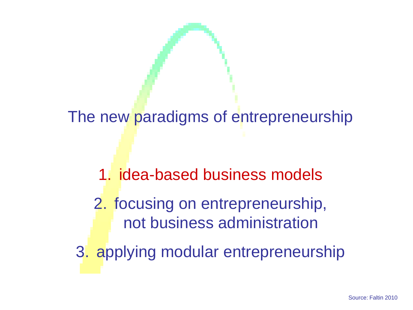The new paradigms of entrepreneurship

- 1. idea-based business models
- 2. focusing on entrepreneurship, not business administration
- 3. applying modular entrepreneurship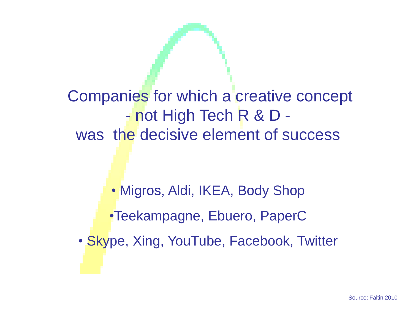Companies for which a creative concept - not High Tech R & D was the decisive element of success

• Migros, Aldi, IKEA, Body Shop •Teekampagne, Ebuero, PaperC

• Skype, Xing, YouTube, Facebook, Twitter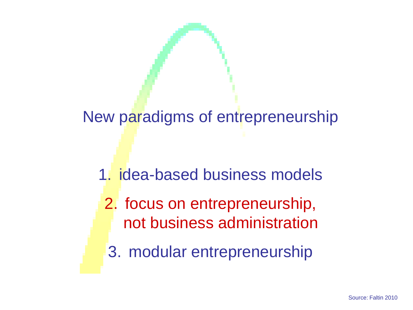New paradigms of entrepreneurship

- 1. idea-based business models
	- 2. focus on entrepreneurship, not business administration
	- 3. modular entrepreneurship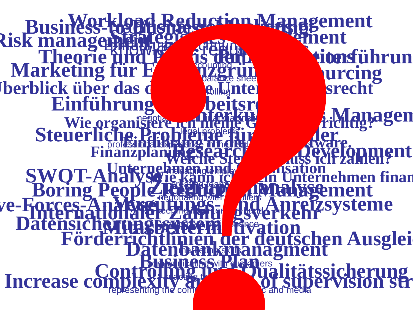Werche Ste<sup>ue</sup>rn muss ich zahlen? **hehmen finan EINF: FARULUE IN DEUX IN DEUX IN DEUX**<br>Finanzplanung eisene in deux In Deux Aware. Unternehmen und Organisation Wie organisiere ich meine Gründung richtig? Marketing für Existenzgründer **Einführung Uberblick über das deutsche Unternehmensrecht** Theorie und P<sup>racis der Mitarbeiter der Mitarbeiter</sup> Steuerliche Probleme für Grunder Förderrichtlinien der deutschen Ausglei Einführung Rechnungswesen in Strategisches Management<br>Strategisches Management<br>Begändt Management **Ylanagen Zielgruppen**<br>Zielgruppen and Mentwert **Datenbankmanagment** Controlling und Qualitätssicherung **Mitarbeiterm fivation People Reguring The Anreizsystement - Forces-Anationaler Zahlungs Mulation**<br>Datensicherungsverkehr Zahlung **Public Extending Point Point Point Point Point Point Point Point Point Point Point Point Point Point Point Poi** Workload Reduction Management **Risk managem Urcing Business-to-Business-Marketing Research and Development SWOT-AD**<br>Boring Pe Increase complexity and loss of supervision str **ve-For Business Pan** accounting reading a balance sheet **controlling** negotiation with financial institutions with the state of the state of the state of the state of the state of lega<del>l</del> problems professional experience in the field of the business of the business of the business of the business of the business marke hold hidey creating team spirit negotiation with suppliers keeping in die hand marketing kekills  $\delta$ ch  $\delta$  in customing with  $\epsilon$  is a lers reacting to complete repliesenting the company in the public and media Traditional descriptions of the description knowledge requirements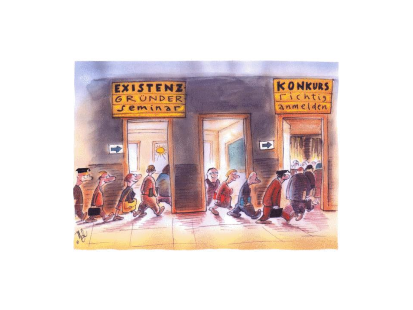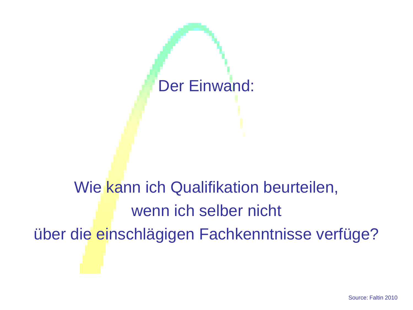

# Wie kann ich Qualifikation beurteilen, wenn ich selber nicht über die einschlägigen Fachkenntnisse verfüge?

Source: Faltin 2010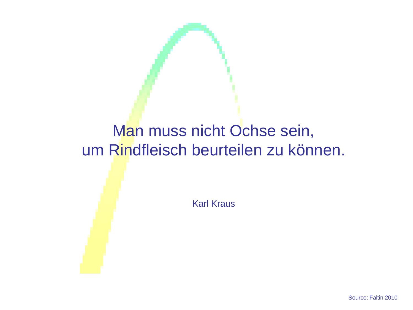### Man muss nicht Ochse sein, um Rindfleisch beurteilen zu können.

Karl Kraus

Source: Faltin 2010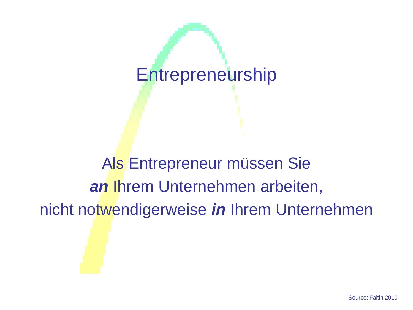### **Entrepreneurship**

Als Entrepreneur müssen Sie *an* Ihrem Unternehmen arbeiten, nicht notwendigerweise *in* Ihrem Unternehmen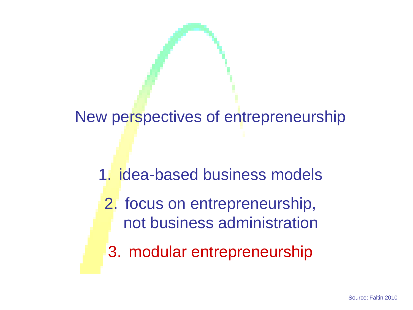New perspectives of entrepreneurship

- 1. idea-based business models
	- 2. focus on entrepreneurship, not business administration
	- 3. modular entrepreneurship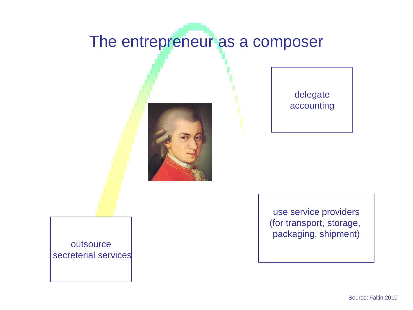#### The entrepreneur as a composer



delegate accounting

use service providers (for transport, storage, packaging, shipment)

outsource secreterial services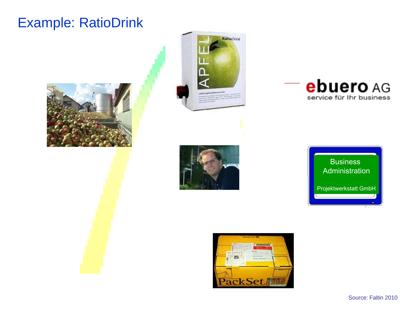#### Example: RatioDrink











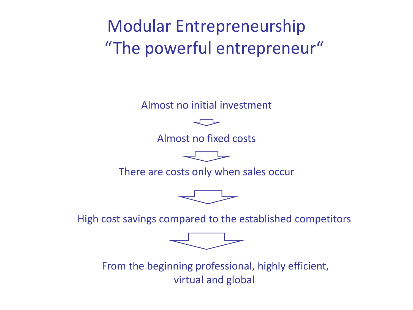Modular Entrepreneurship "The powerful entrepreneur"

Almost no initial investment



Almost no fixed costs



There are costs only when sales occur



High cost savings compared to the established competitors



From the beginning professional, highly efficient, virtual and global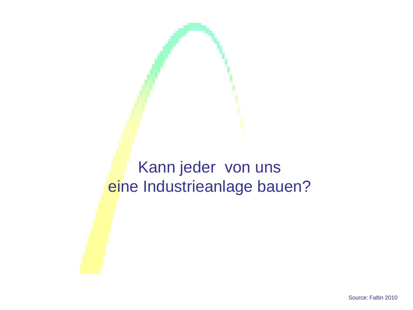#### Kann jeder von uns eine Industrieanlage bauen?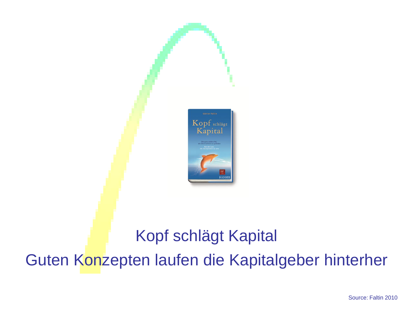

### Kopf schlägt Kapital Guten Konzepten laufen die Kapitalgeber hinterher

Source: Faltin 2010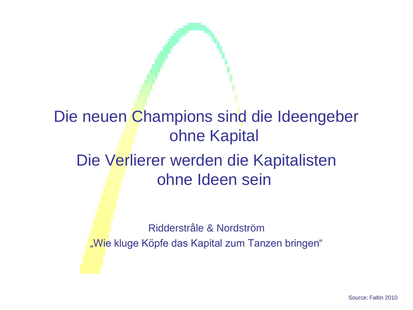### Die neuen Champions sind die Ideengeber ohne Kapital Die Verlierer werden die Kapitalisten ohne Ideen sein

Ridderstråle & Nordström "Wie kluge Köpfe das Kapital zum Tanzen bringen"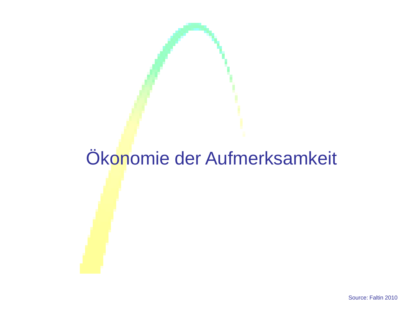## Ökonomie der Aufmerksamkeit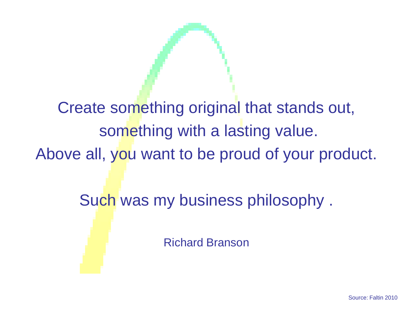Create something original that stands out, something with a lasting value. Above all, you want to be proud of your product.

Such was my business philosophy .

Richard Branson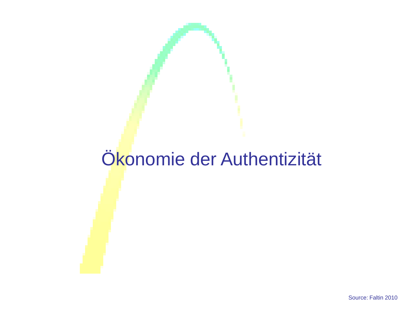## Ökonomie der Authentizität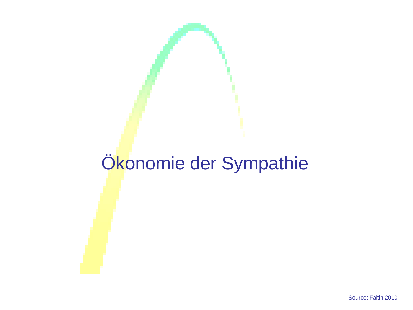## Ökonomie der Sympathie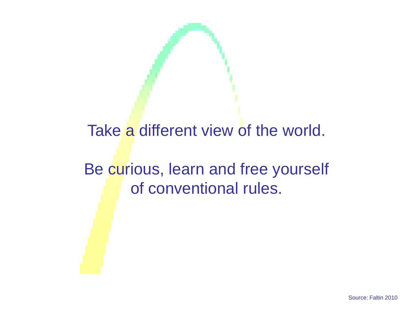#### Take a different view of the world.

#### Be curious, learn and free yourself of conventional rules.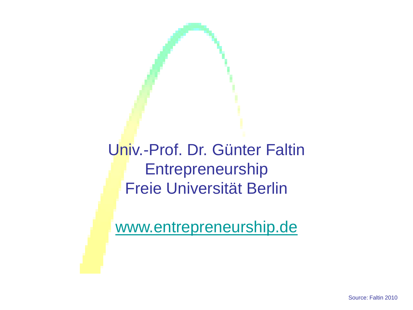Univ.-Prof. Dr. Günter Faltin **Entrepreneurship** Freie Universität Berlin

[www.entrepreneurship.de](http://www.entrepreneurship.de/)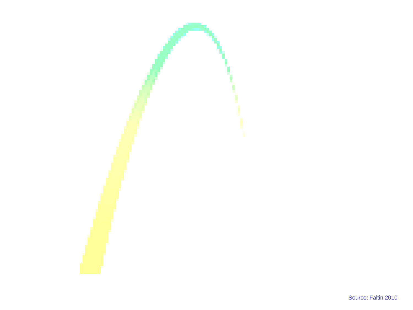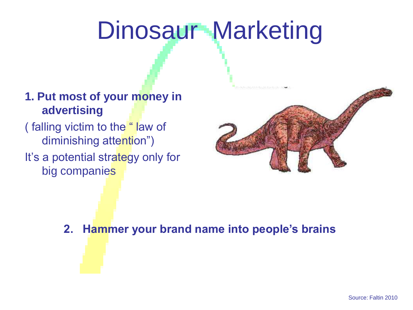# Dinosaur Marketing

#### **1. Put most of your money in advertising**

( falling victim to the " law of diminishing attention") It's a potential strategy only for big companies



**2. Hammer your brand name into people's brains**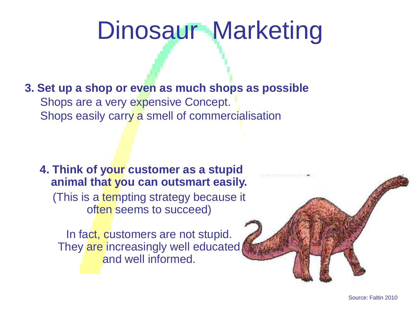# Dinosaur Marketing

**3. Set up a shop or even as much shops as possible** Shops are a very expensive Concept. Shops easily carry a smell of commercialisation

**4. Think of your customer as a stupid animal that you can outsmart easily.** (This is a tempting strategy because [it](http://www.dinosaurierarten.de/)  often seems to succeed)

In fact, customers are not stupid. They are increasingly well educated and well informed.

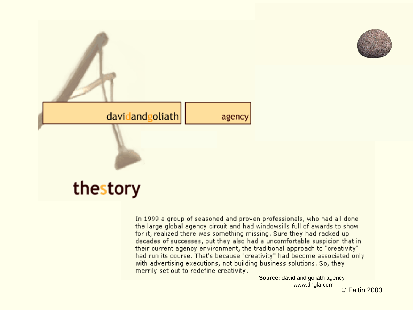



In 1999 a group of seasoned and proven professionals, who had all done the large global agency circuit and had windowsills full of awards to show for it, realized there was something missing. Sure they had racked up decades of successes, but they also had a uncomfortable suspicion that in their current agency environment, the traditional approach to "creativity" had run its course. That's because "creativity" had become associated only with advertising executions, not building business solutions. So, they merrily set out to redefine creativity.

**Source:** david and goliath agency www.dngla.com

© Faltin 2003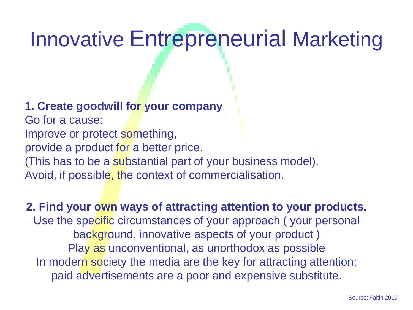# Innovative Entrepreneurial Marketing

#### **1. Create goodwill for your company**

Go for a cause: Improve or protect something, provide a product for a better price. (This has to be a substantial part of your business model). Avoid, if possible, the context of commercialisation.

**2. Find your own ways of attracting attention to your products.** Use the specific circumstances of your approach ( your personal background, innovative aspects of your product ) Play as unconventional, as unorthodox as possible In modern society the media are the key for attracting attention; paid advertisements are a poor and expensive substitute.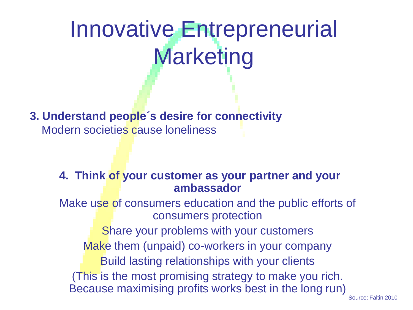# Innovative Entrepreneurial Marketing

**3. Understand people´s desire for connectivity** Modern societies cause loneliness

#### **4. Think of your customer as your partner and your ambassador**

Make use of consumers education and the public efforts of consumers protection

Share your problems with your customers Make them (unpaid) co-workers in your company Build lasting relationships with your clients (This is the most promising strategy to make you rich. Because maximising profits works best in the long run)